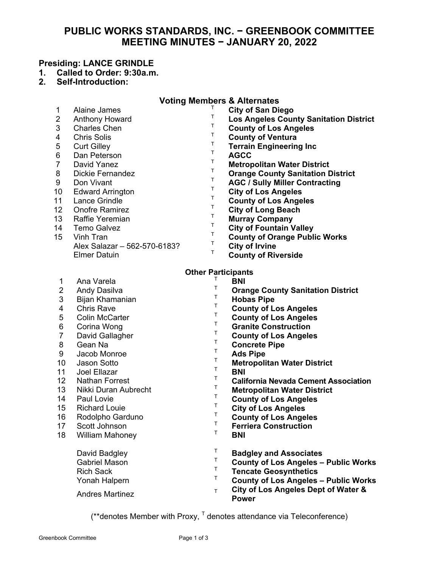# **PUBLIC WORKS STANDARDS, INC. − GREENBOOK COMMITTEE MEETING MINUTES − JANUARY 20, 2022**

#### **Presiding: LANCE GRINDLE**

- **1. Called to Order: 9:30a.m.**
- **2. Self-Introduction:**

| <b>Voting Members &amp; Alternates</b> |  |  |  |
|----------------------------------------|--|--|--|
|----------------------------------------|--|--|--|

| 1              | Alaine James                 | Т      | <b>City of San Diego</b>                            |  |  |  |
|----------------|------------------------------|--------|-----------------------------------------------------|--|--|--|
| 2              | <b>Anthony Howard</b>        | Т      | <b>Los Angeles County Sanitation District</b>       |  |  |  |
| 3              | <b>Charles Chen</b>          | т      | <b>County of Los Angeles</b>                        |  |  |  |
| 4              | <b>Chris Solis</b>           | т      | <b>County of Ventura</b>                            |  |  |  |
| 5              | <b>Curt Gilley</b>           | т      | <b>Terrain Engineering Inc</b>                      |  |  |  |
| 6              | Dan Peterson                 | Т      | <b>AGCC</b>                                         |  |  |  |
| 7              | David Yanez                  | т<br>т | <b>Metropolitan Water District</b>                  |  |  |  |
| 8              | <b>Dickie Fernandez</b>      | т      | <b>Orange County Sanitation District</b>            |  |  |  |
| 9              | Don Vivant                   | т      | <b>AGC / Sully Miller Contracting</b>               |  |  |  |
| 10             | <b>Edward Arrington</b>      | Т      | <b>City of Los Angeles</b>                          |  |  |  |
| 11             | <b>Lance Grindle</b>         | Т      | <b>County of Los Angeles</b>                        |  |  |  |
| 12             | <b>Onofre Ramirez</b>        | Т      | <b>City of Long Beach</b>                           |  |  |  |
| 13             | <b>Raffie Yeremian</b>       | т      | <b>Murray Company</b>                               |  |  |  |
| 14             | <b>Temo Galvez</b>           | т      | <b>City of Fountain Valley</b>                      |  |  |  |
| 15             | Vinh Tran                    | Τ      | <b>County of Orange Public Works</b>                |  |  |  |
|                | Alex Salazar - 562-570-6183? | T.     | <b>City of Irvine</b>                               |  |  |  |
|                | <b>Elmer Datuin</b>          |        | <b>County of Riverside</b>                          |  |  |  |
|                | <b>Other Participants</b>    |        |                                                     |  |  |  |
| 1              | Ana Varela                   | т      | <b>BNI</b>                                          |  |  |  |
| 2              | <b>Andy Dasilva</b>          | т      | <b>Orange County Sanitation District</b>            |  |  |  |
| 3              | Bijan Khamanian              | т      | <b>Hobas Pipe</b>                                   |  |  |  |
| 4              | <b>Chris Rave</b>            | т      | <b>County of Los Angeles</b>                        |  |  |  |
| 5              | <b>Colin McCarter</b>        | Т      | <b>County of Los Angeles</b>                        |  |  |  |
| 6              | Corina Wong                  | Т      | <b>Granite Construction</b>                         |  |  |  |
| $\overline{7}$ | David Gallagher              | Τ      | <b>County of Los Angeles</b>                        |  |  |  |
| 8              | Gean Na                      | Τ      | <b>Concrete Pipe</b>                                |  |  |  |
| 9              | Jacob Monroe                 | Τ      | <b>Ads Pipe</b>                                     |  |  |  |
| 10             | <b>Jason Sotto</b>           | T      | <b>Metropolitan Water District</b>                  |  |  |  |
| 11             | Joel Ellazar                 | т      | <b>BNI</b>                                          |  |  |  |
| 12             | <b>Nathan Forrest</b>        | Τ      | <b>California Nevada Cement Association</b>         |  |  |  |
| 13             | Nikki Duran Aubrecht         | Τ      | <b>Metropolitan Water District</b>                  |  |  |  |
| 14             | Paul Lovie                   | Т      | <b>County of Los Angeles</b>                        |  |  |  |
| 15             | <b>Richard Louie</b>         | Т      | <b>City of Los Angeles</b>                          |  |  |  |
| 16             | Rodolpho Garduno             | Τ      | <b>County of Los Angeles</b>                        |  |  |  |
| 17             | Scott Johnson                | Τ      | <b>Ferriera Construction</b>                        |  |  |  |
| 18             | William Mahoney              | Τ      | <b>BNI</b>                                          |  |  |  |
|                |                              | Τ      |                                                     |  |  |  |
|                | David Badgley                | Τ      | <b>Badgley and Associates</b>                       |  |  |  |
|                | <b>Gabriel Mason</b>         | т      | <b>County of Los Angeles - Public Works</b>         |  |  |  |
|                | <b>Rich Sack</b>             | Τ      | <b>Tencate Geosynthetics</b>                        |  |  |  |
|                | Yonah Halpern                |        | <b>County of Los Angeles - Public Works</b>         |  |  |  |
|                | <b>Andres Martinez</b>       | T      | City of Los Angeles Dept of Water &<br><b>Power</b> |  |  |  |

 $(*$ <sup>\*</sup>denotes Member with Proxy,  $\mathsf{F}$  denotes attendance via Teleconference)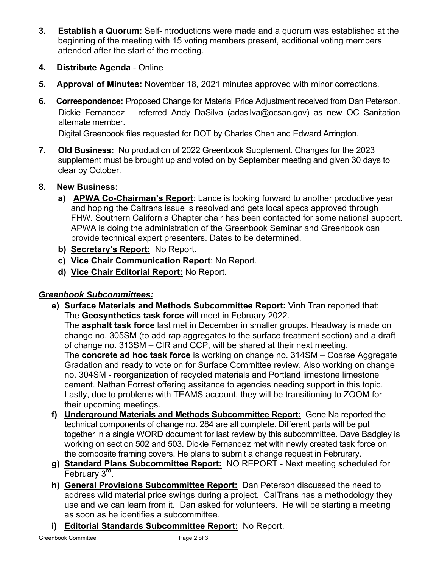- **3. Establish a Quorum:** Self-introductions were made and a quorum was established at the beginning of the meeting with 15 voting members present, additional voting members attended after the start of the meeting.
- **4. Distribute Agenda**  Online
- **5. Approval of Minutes:** November 18, 2021 minutes approved with minor corrections.
- **6. Correspondence:** Proposed Change for Material Price Adjustment received from Dan Peterson. Dickie Fernandez – referred Andy DaSilva (adasilva@ocsan.gov) as new OC Sanitation alternate member.

Digital Greenbook files requested for DOT by Charles Chen and Edward Arrington.

**7. Old Business:** No production of 2022 Greenbook Supplement. Changes for the 2023 supplement must be brought up and voted on by September meeting and given 30 days to clear by October.

### **8. New Business:**

- **a) APWA Co-Chairman's Report**: Lance is looking forward to another productive year and hoping the Caltrans issue is resolved and gets local specs approved through FHW. Southern California Chapter chair has been contacted for some national support. APWA is doing the administration of the Greenbook Seminar and Greenbook can provide technical expert presenters. Dates to be determined.
- **b) Secretary's Report:** No Report.
- **c) Vice Chair Communication Report**: No Report.
- **d) Vice Chair Editorial Report:** No Report.

## *Greenbook Subcommittees:*

**e) Surface Materials and Methods Subcommittee Report:** Vinh Tran reported that: The **Geosynthetics task force** will meet in February 2022. The **asphalt task force** last met in December in smaller groups. Headway is made on

change no. 305SM (to add rap aggregates to the surface treatment section) and a draft of change no. 313SM – CIR and CCP, will be shared at their next meeting. The **concrete ad hoc task force** is working on change no. 314SM – Coarse Aggregate Gradation and ready to vote on for Surface Committee review. Also working on change no. 304SM - reorganization of recycled materials and Portland limestone limestone cement. Nathan Forrest offering assitance to agencies needing support in this topic. Lastly, due to problems with TEAMS account, they will be transitioning to ZOOM for their upcoming meetings.

- **f) Underground Materials and Methods Subcommittee Report:** Gene Na reported the technical components of change no. 284 are all complete. Different parts will be put together in a single WORD document for last review by this subcommittee. Dave Badgley is working on section 502 and 503. Dickie Fernandez met with newly created task force on the composite framing covers. He plans to submit a change request in Februrary.
- **g) Standard Plans Subcommittee Report:** NO REPORT Next meeting scheduled for February 3<sup>rd</sup>.
- **h) General Provisions Subcommittee Report:** Dan Peterson discussed the need to address wild material price swings during a project. CalTrans has a methodology they use and we can learn from it. Dan asked for volunteers. He will be starting a meeting as soon as he identifies a subcommittee.
- **i) Editorial Standards Subcommittee Report:** No Report.